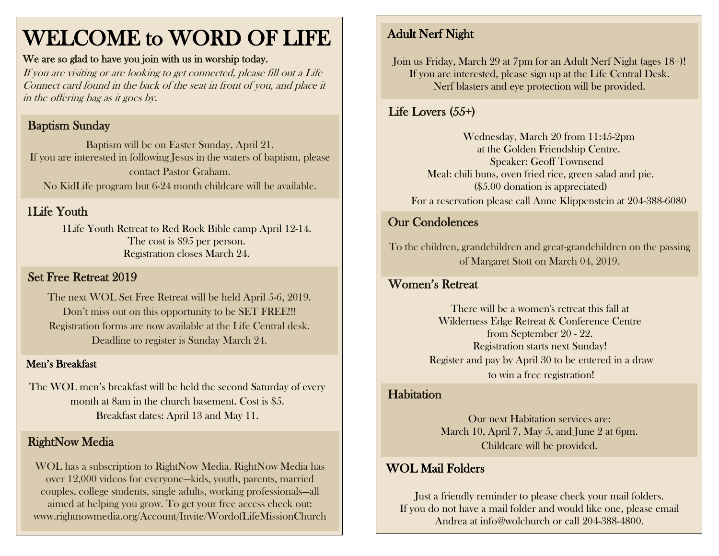# WELCOME to WORD OF LIFE

#### We are so glad to have you join with us in worship today.

If you are visiting or are looking to get connected, please fill out a Life Connect card found in the back of the seat in front of you, and place it in the offering bag as it goes by.

#### Baptism Sunday

Baptism will be on Easter Sunday, April 21. If you are interested in following Jesus in the waters of baptism, please contact Pastor Graham. No KidLife program but 6-24 month childcare will be available.

#### 1Life Youth

1Life Youth Retreat to Red Rock Bible camp April 12-14. The cost is \$95 per person. Registration closes March 24.

#### Set Free Retreat 2019

The next WOL Set Free Retreat will be held April 5-6, 2019. Don't miss out on this opportunity to be SET FREE!!! Registration forms are now available at the Life Central desk. Deadline to register is Sunday March 24.

#### Men's Breakfast

The WOL men's breakfast will be held the second Saturday of every month at 8am in the church basement. Cost is \$5. Breakfast dates: April 13 and May 11.

#### **RightNow Media**

WOL has a subscription to RightNow Media. RightNow Media has over 12,000 videos for everyone—kids, youth, parents, married couples, college students, single adults, working professionals—all aimed at helping you grow. To get your free access check out: www.rightnowmedia.org/Account/Invite/WordofLifeMissionChurch

## Adult Nerf Night

Join us Friday, March 29 at 7pm for an Adult Nerf Night (ages 18+)! If you are interested, please sign up at the Life Central Desk. Nerf blasters and eye protection will be provided.

#### Life Lovers (55+)

Wednesday, March 20 from 11:45-2pm at the Golden Friendship Centre. Speaker: Geoff Townsend Meal: chili buns, oven fried rice, green salad and pie. (\$5.00 donation is appreciated) For a reservation please call Anne Klippenstein at 204-388-6080

#### Our Condolences

To the children, grandchildren and great-grandchildren on the passing of Margaret Stott on March 04, 2019.

#### Women's Retreat

There will be a women's retreat this fall at Wilderness Edge Retreat & Conference Centre from September 20 - 22. Registration starts next Sunday! Register and pay by April 30 to be entered in a draw to win a free registration!

#### **Habitation**

 $\overline{a}$ 

Our next Habitation services are: March 10, April 7, May 5, and June 2 at 6pm. Childcare will be provided.

#### WOL Mail Folders

Just a friendly reminder to please check your mail folders. If you do not have a mail folder and would like one, please email Andrea at info@wolchurch or call 204-388-4800.